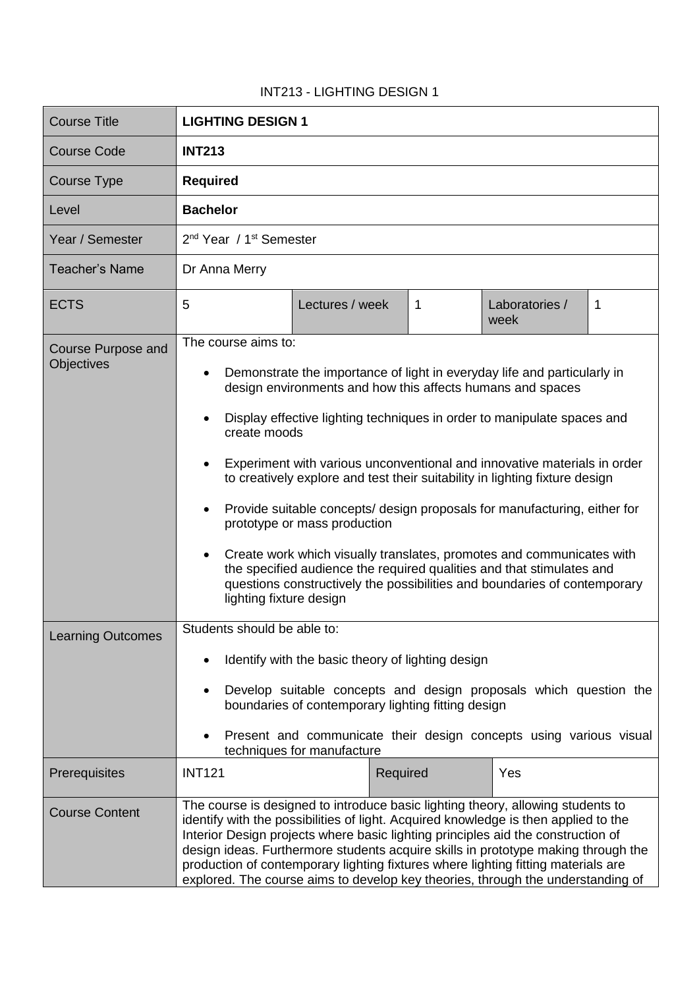## INT213 - LIGHTING DESIGN 1

| <b>Course Title</b>                     | <b>LIGHTING DESIGN 1</b>                                                                                                                                                                                                                                                                                                                                                                                                                                                                                                |
|-----------------------------------------|-------------------------------------------------------------------------------------------------------------------------------------------------------------------------------------------------------------------------------------------------------------------------------------------------------------------------------------------------------------------------------------------------------------------------------------------------------------------------------------------------------------------------|
| <b>Course Code</b>                      | <b>INT213</b>                                                                                                                                                                                                                                                                                                                                                                                                                                                                                                           |
| Course Type                             | <b>Required</b>                                                                                                                                                                                                                                                                                                                                                                                                                                                                                                         |
| Level                                   | <b>Bachelor</b>                                                                                                                                                                                                                                                                                                                                                                                                                                                                                                         |
| Year / Semester                         | 2 <sup>nd</sup> Year / 1 <sup>st</sup> Semester                                                                                                                                                                                                                                                                                                                                                                                                                                                                         |
| <b>Teacher's Name</b>                   | Dr Anna Merry                                                                                                                                                                                                                                                                                                                                                                                                                                                                                                           |
| <b>ECTS</b>                             | 5<br>Lectures / week<br>1<br>Laboratories /<br>1<br>week                                                                                                                                                                                                                                                                                                                                                                                                                                                                |
| <b>Course Purpose and</b><br>Objectives | The course aims to:                                                                                                                                                                                                                                                                                                                                                                                                                                                                                                     |
|                                         | Demonstrate the importance of light in everyday life and particularly in<br>design environments and how this affects humans and spaces                                                                                                                                                                                                                                                                                                                                                                                  |
|                                         | Display effective lighting techniques in order to manipulate spaces and<br>create moods                                                                                                                                                                                                                                                                                                                                                                                                                                 |
|                                         | Experiment with various unconventional and innovative materials in order<br>to creatively explore and test their suitability in lighting fixture design                                                                                                                                                                                                                                                                                                                                                                 |
|                                         | Provide suitable concepts/ design proposals for manufacturing, either for<br>prototype or mass production                                                                                                                                                                                                                                                                                                                                                                                                               |
|                                         | Create work which visually translates, promotes and communicates with<br>the specified audience the required qualities and that stimulates and<br>questions constructively the possibilities and boundaries of contemporary<br>lighting fixture design                                                                                                                                                                                                                                                                  |
| <b>Learning Outcomes</b>                | Students should be able to:                                                                                                                                                                                                                                                                                                                                                                                                                                                                                             |
|                                         | Identify with the basic theory of lighting design                                                                                                                                                                                                                                                                                                                                                                                                                                                                       |
|                                         | Develop suitable concepts and design proposals which question the<br>boundaries of contemporary lighting fitting design                                                                                                                                                                                                                                                                                                                                                                                                 |
|                                         | Present and communicate their design concepts using various visual<br>techniques for manufacture                                                                                                                                                                                                                                                                                                                                                                                                                        |
| Prerequisites                           | <b>INT121</b><br>Yes<br>Required                                                                                                                                                                                                                                                                                                                                                                                                                                                                                        |
| <b>Course Content</b>                   | The course is designed to introduce basic lighting theory, allowing students to<br>identify with the possibilities of light. Acquired knowledge is then applied to the<br>Interior Design projects where basic lighting principles aid the construction of<br>design ideas. Furthermore students acquire skills in prototype making through the<br>production of contemporary lighting fixtures where lighting fitting materials are<br>explored. The course aims to develop key theories, through the understanding of |